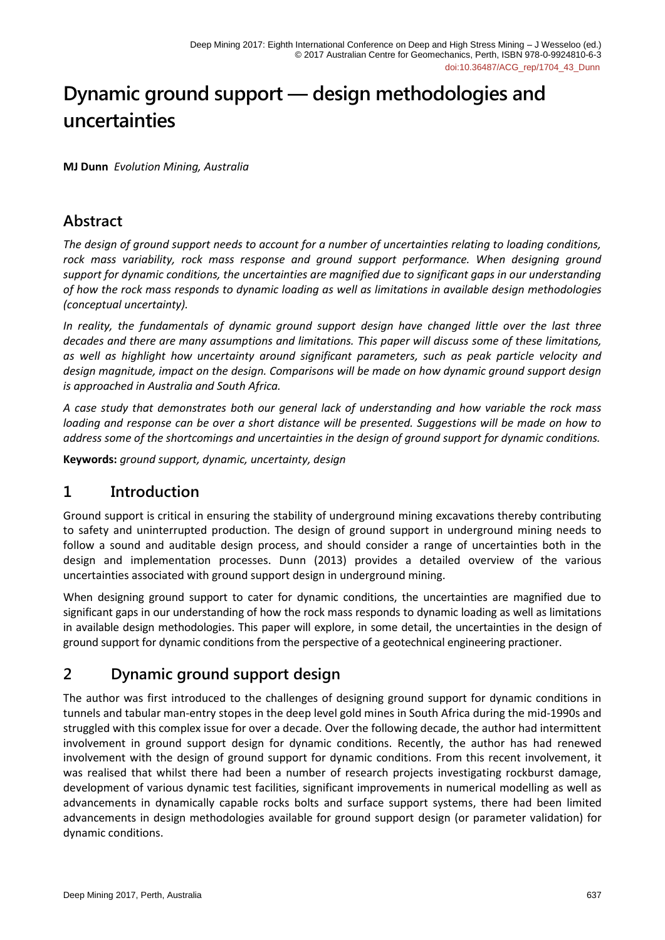# **Dynamic ground support — design methodologies and uncertainties**

**MJ Dunn** *Evolution Mining, Australia*

## **Abstract**

*The design of ground support needs to account for a number of uncertainties relating to loading conditions,*  rock mass variability, rock mass response and ground support performance. When designing ground *support for dynamic conditions, the uncertainties are magnified due to significant gaps in our understanding of how the rock mass responds to dynamic loading as well as limitations in available design methodologies (conceptual uncertainty).* 

*In reality, the fundamentals of dynamic ground support design have changed little over the last three decades and there are many assumptions and limitations. This paper will discuss some of these limitations, as well as highlight how uncertainty around significant parameters, such as peak particle velocity and design magnitude, impact on the design. Comparisons will be made on how dynamic ground support design is approached in Australia and South Africa.* 

*A case study that demonstrates both our general lack of understanding and how variable the rock mass loading and response can be over a short distance will be presented. Suggestions will be made on how to address some of the shortcomings and uncertainties in the design of ground support for dynamic conditions.*

**Keywords:** *ground support, dynamic, uncertainty, design*

### **1 Introduction**

Ground support is critical in ensuring the stability of underground mining excavations thereby contributing to safety and uninterrupted production. The design of ground support in underground mining needs to follow a sound and auditable design process, and should consider a range of uncertainties both in the design and implementation processes. Dunn (2013) provides a detailed overview of the various uncertainties associated with ground support design in underground mining.

When designing ground support to cater for dynamic conditions, the uncertainties are magnified due to significant gaps in our understanding of how the rock mass responds to dynamic loading as well as limitations in available design methodologies. This paper will explore, in some detail, the uncertainties in the design of ground support for dynamic conditions from the perspective of a geotechnical engineering practioner.

# **2 Dynamic ground support design**

The author was first introduced to the challenges of designing ground support for dynamic conditions in tunnels and tabular man-entry stopes in the deep level gold mines in South Africa during the mid-1990s and struggled with this complex issue for over a decade. Over the following decade, the author had intermittent involvement in ground support design for dynamic conditions. Recently, the author has had renewed involvement with the design of ground support for dynamic conditions. From this recent involvement, it was realised that whilst there had been a number of research projects investigating rockburst damage, development of various dynamic test facilities, significant improvements in numerical modelling as well as advancements in dynamically capable rocks bolts and surface support systems, there had been limited advancements in design methodologies available for ground support design (or parameter validation) for dynamic conditions.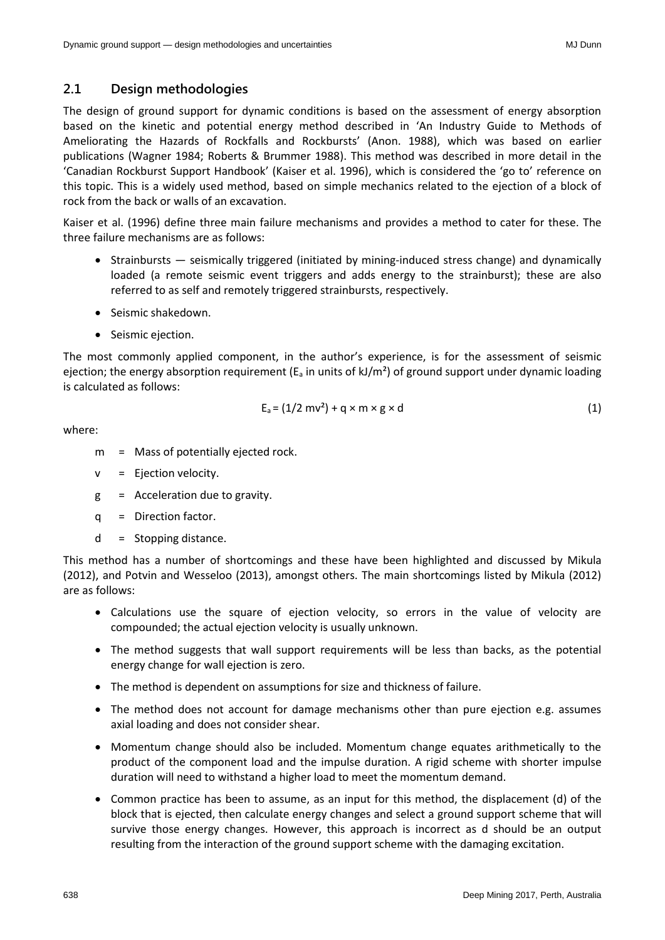The design of ground support for dynamic conditions is based on the assessment of energy absorption based on the kinetic and potential energy method described in 'An Industry Guide to Methods of Ameliorating the Hazards of Rockfalls and Rockbursts' (Anon. 1988), which was based on earlier publications (Wagner 1984; Roberts & Brummer 1988). This method was described in more detail in the 'Canadian Rockburst Support Handbook' (Kaiser et al. 1996), which is considered the 'go to' reference on this topic. This is a widely used method, based on simple mechanics related to the ejection of a block of rock from the back or walls of an excavation.

Kaiser et al. (1996) define three main failure mechanisms and provides a method to cater for these. The three failure mechanisms are as follows:

- Strainbursts seismically triggered (initiated by mining-induced stress change) and dynamically loaded (a remote seismic event triggers and adds energy to the strainburst); these are also referred to as self and remotely triggered strainbursts, respectively.
- Seismic shakedown.
- Seismic ejection.

The most commonly applied component, in the author's experience, is for the assessment of seismic ejection; the energy absorption requirement ( $E_a$  in units of kJ/m<sup>2</sup>) of ground support under dynamic loading is calculated as follows:

$$
E_a = (1/2 \text{ m}v^2) + q \times m \times g \times d \tag{1}
$$

where:

- m = Mass of potentially ejected rock.
- v = Ejection velocity.
- g = Acceleration due to gravity.
- q = Direction factor.
- $d =$  Stopping distance.

This method has a number of shortcomings and these have been highlighted and discussed by Mikula (2012), and Potvin and Wesseloo (2013), amongst others. The main shortcomings listed by Mikula (2012) are as follows:

- Calculations use the square of ejection velocity, so errors in the value of velocity are compounded; the actual ejection velocity is usually unknown.
- The method suggests that wall support requirements will be less than backs, as the potential energy change for wall ejection is zero.
- The method is dependent on assumptions for size and thickness of failure.
- The method does not account for damage mechanisms other than pure ejection e.g. assumes axial loading and does not consider shear.
- Momentum change should also be included. Momentum change equates arithmetically to the product of the component load and the impulse duration. A rigid scheme with shorter impulse duration will need to withstand a higher load to meet the momentum demand.
- Common practice has been to assume, as an input for this method, the displacement (d) of the block that is ejected, then calculate energy changes and select a ground support scheme that will survive those energy changes. However, this approach is incorrect as d should be an output resulting from the interaction of the ground support scheme with the damaging excitation.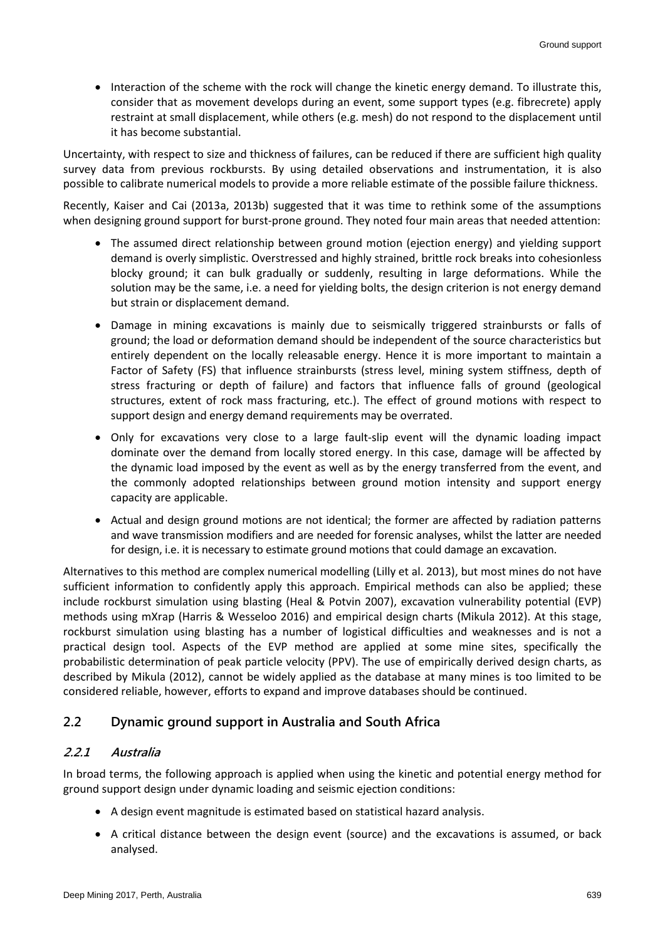• Interaction of the scheme with the rock will change the kinetic energy demand. To illustrate this, consider that as movement develops during an event, some support types (e.g. fibrecrete) apply restraint at small displacement, while others (e.g. mesh) do not respond to the displacement until it has become substantial.

Uncertainty, with respect to size and thickness of failures, can be reduced if there are sufficient high quality survey data from previous rockbursts. By using detailed observations and instrumentation, it is also possible to calibrate numerical models to provide a more reliable estimate of the possible failure thickness.

Recently, Kaiser and Cai (2013a, 2013b) suggested that it was time to rethink some of the assumptions when designing ground support for burst-prone ground. They noted four main areas that needed attention:

- The assumed direct relationship between ground motion (ejection energy) and yielding support demand is overly simplistic. Overstressed and highly strained, brittle rock breaks into cohesionless blocky ground; it can bulk gradually or suddenly, resulting in large deformations. While the solution may be the same, i.e. a need for yielding bolts, the design criterion is not energy demand but strain or displacement demand.
- Damage in mining excavations is mainly due to seismically triggered strainbursts or falls of ground; the load or deformation demand should be independent of the source characteristics but entirely dependent on the locally releasable energy. Hence it is more important to maintain a Factor of Safety (FS) that influence strainbursts (stress level, mining system stiffness, depth of stress fracturing or depth of failure) and factors that influence falls of ground (geological structures, extent of rock mass fracturing, etc.). The effect of ground motions with respect to support design and energy demand requirements may be overrated.
- Only for excavations very close to a large fault-slip event will the dynamic loading impact dominate over the demand from locally stored energy. In this case, damage will be affected by the dynamic load imposed by the event as well as by the energy transferred from the event, and the commonly adopted relationships between ground motion intensity and support energy capacity are applicable.
- Actual and design ground motions are not identical; the former are affected by radiation patterns and wave transmission modifiers and are needed for forensic analyses, whilst the latter are needed for design, i.e. it is necessary to estimate ground motions that could damage an excavation.

Alternatives to this method are complex numerical modelling (Lilly et al. 2013), but most mines do not have sufficient information to confidently apply this approach. Empirical methods can also be applied; these include rockburst simulation using blasting (Heal & Potvin 2007), excavation vulnerability potential (EVP) methods using mXrap (Harris & Wesseloo 2016) and empirical design charts (Mikula 2012). At this stage, rockburst simulation using blasting has a number of logistical difficulties and weaknesses and is not a practical design tool. Aspects of the EVP method are applied at some mine sites, specifically the probabilistic determination of peak particle velocity (PPV). The use of empirically derived design charts, as described by Mikula (2012), cannot be widely applied as the database at many mines is too limited to be considered reliable, however, efforts to expand and improve databases should be continued.

### **2.2 Dynamic ground support in Australia and South Africa**

#### **2.2.1 Australia**

In broad terms, the following approach is applied when using the kinetic and potential energy method for ground support design under dynamic loading and seismic ejection conditions:

- A design event magnitude is estimated based on statistical hazard analysis.
- A critical distance between the design event (source) and the excavations is assumed, or back analysed.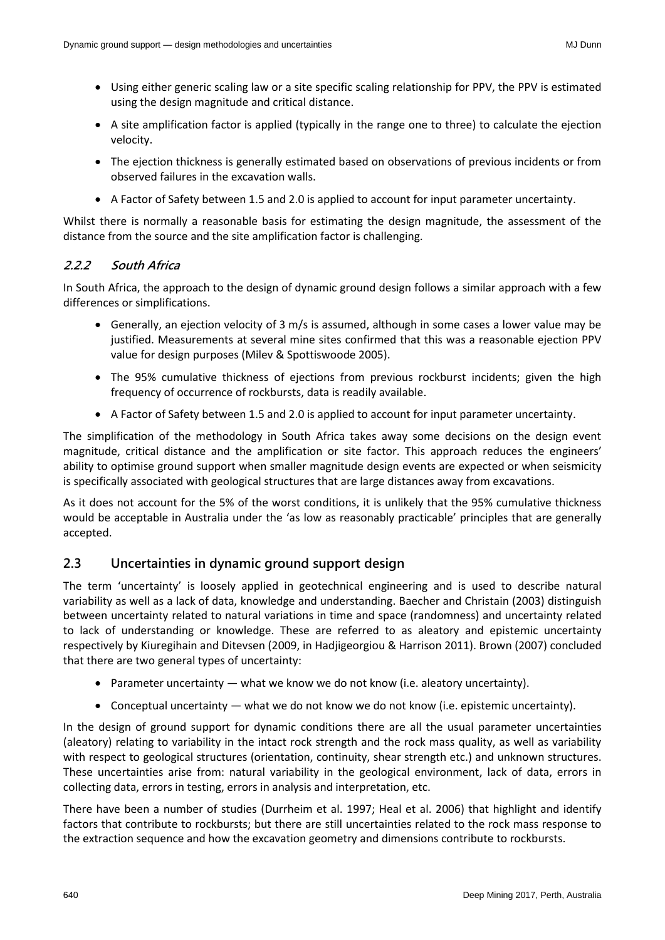- Using either generic scaling law or a site specific scaling relationship for PPV, the PPV is estimated using the design magnitude and critical distance.
- A site amplification factor is applied (typically in the range one to three) to calculate the ejection velocity.
- The ejection thickness is generally estimated based on observations of previous incidents or from observed failures in the excavation walls.
- A Factor of Safety between 1.5 and 2.0 is applied to account for input parameter uncertainty.

Whilst there is normally a reasonable basis for estimating the design magnitude, the assessment of the distance from the source and the site amplification factor is challenging.

#### **2.2.2 South Africa**

In South Africa, the approach to the design of dynamic ground design follows a similar approach with a few differences or simplifications.

- Generally, an ejection velocity of 3 m/s is assumed, although in some cases a lower value may be justified. Measurements at several mine sites confirmed that this was a reasonable ejection PPV value for design purposes (Milev & Spottiswoode 2005).
- The 95% cumulative thickness of ejections from previous rockburst incidents; given the high frequency of occurrence of rockbursts, data is readily available.
- A Factor of Safety between 1.5 and 2.0 is applied to account for input parameter uncertainty.

The simplification of the methodology in South Africa takes away some decisions on the design event magnitude, critical distance and the amplification or site factor. This approach reduces the engineers' ability to optimise ground support when smaller magnitude design events are expected or when seismicity is specifically associated with geological structures that are large distances away from excavations.

As it does not account for the 5% of the worst conditions, it is unlikely that the 95% cumulative thickness would be acceptable in Australia under the 'as low as reasonably practicable' principles that are generally accepted.

#### **2.3 Uncertainties in dynamic ground support design**

The term 'uncertainty' is loosely applied in geotechnical engineering and is used to describe natural variability as well as a lack of data, knowledge and understanding. Baecher and Christain (2003) distinguish between uncertainty related to natural variations in time and space (randomness) and uncertainty related to lack of understanding or knowledge. These are referred to as aleatory and epistemic uncertainty respectively by Kiuregihain and Ditevsen (2009, in Hadjigeorgiou & Harrison 2011). Brown (2007) concluded that there are two general types of uncertainty:

- Parameter uncertainty what we know we do not know (i.e. aleatory uncertainty).
- Conceptual uncertainty what we do not know we do not know (i.e. epistemic uncertainty).

In the design of ground support for dynamic conditions there are all the usual parameter uncertainties (aleatory) relating to variability in the intact rock strength and the rock mass quality, as well as variability with respect to geological structures (orientation, continuity, shear strength etc.) and unknown structures. These uncertainties arise from: natural variability in the geological environment, lack of data, errors in collecting data, errors in testing, errors in analysis and interpretation, etc.

There have been a number of studies (Durrheim et al. 1997; Heal et al. 2006) that highlight and identify factors that contribute to rockbursts; but there are still uncertainties related to the rock mass response to the extraction sequence and how the excavation geometry and dimensions contribute to rockbursts.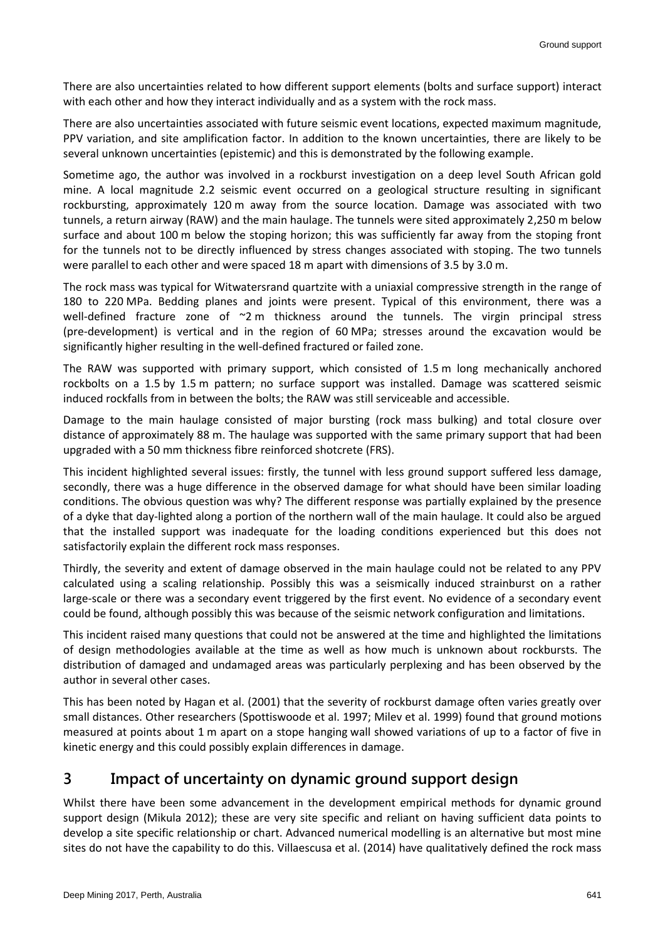There are also uncertainties related to how different support elements (bolts and surface support) interact with each other and how they interact individually and as a system with the rock mass.

There are also uncertainties associated with future seismic event locations, expected maximum magnitude, PPV variation, and site amplification factor. In addition to the known uncertainties, there are likely to be several unknown uncertainties (epistemic) and this is demonstrated by the following example.

Sometime ago, the author was involved in a rockburst investigation on a deep level South African gold mine. A local magnitude 2.2 seismic event occurred on a geological structure resulting in significant rockbursting, approximately 120 m away from the source location. Damage was associated with two tunnels, a return airway (RAW) and the main haulage. The tunnels were sited approximately 2,250 m below surface and about 100 m below the stoping horizon; this was sufficiently far away from the stoping front for the tunnels not to be directly influenced by stress changes associated with stoping. The two tunnels were parallel to each other and were spaced 18 m apart with dimensions of 3.5 by 3.0 m.

The rock mass was typical for Witwatersrand quartzite with a uniaxial compressive strength in the range of 180 to 220 MPa. Bedding planes and joints were present. Typical of this environment, there was a well-defined fracture zone of ~2 m thickness around the tunnels. The virgin principal stress (pre-development) is vertical and in the region of 60 MPa; stresses around the excavation would be significantly higher resulting in the well-defined fractured or failed zone.

The RAW was supported with primary support, which consisted of 1.5 m long mechanically anchored rockbolts on a 1.5 by 1.5 m pattern; no surface support was installed. Damage was scattered seismic induced rockfalls from in between the bolts; the RAW was still serviceable and accessible.

Damage to the main haulage consisted of major bursting (rock mass bulking) and total closure over distance of approximately 88 m. The haulage was supported with the same primary support that had been upgraded with a 50 mm thickness fibre reinforced shotcrete (FRS).

This incident highlighted several issues: firstly, the tunnel with less ground support suffered less damage, secondly, there was a huge difference in the observed damage for what should have been similar loading conditions. The obvious question was why? The different response was partially explained by the presence of a dyke that day-lighted along a portion of the northern wall of the main haulage. It could also be argued that the installed support was inadequate for the loading conditions experienced but this does not satisfactorily explain the different rock mass responses.

Thirdly, the severity and extent of damage observed in the main haulage could not be related to any PPV calculated using a scaling relationship. Possibly this was a seismically induced strainburst on a rather large-scale or there was a secondary event triggered by the first event. No evidence of a secondary event could be found, although possibly this was because of the seismic network configuration and limitations.

This incident raised many questions that could not be answered at the time and highlighted the limitations of design methodologies available at the time as well as how much is unknown about rockbursts. The distribution of damaged and undamaged areas was particularly perplexing and has been observed by the author in several other cases.

This has been noted by Hagan et al. (2001) that the severity of rockburst damage often varies greatly over small distances. Other researchers (Spottiswoode et al. 1997; Milev et al. 1999) found that ground motions measured at points about 1 m apart on a stope hanging wall showed variations of up to a factor of five in kinetic energy and this could possibly explain differences in damage.

# **3 Impact of uncertainty on dynamic ground support design**

Whilst there have been some advancement in the development empirical methods for dynamic ground support design (Mikula 2012); these are very site specific and reliant on having sufficient data points to develop a site specific relationship or chart. Advanced numerical modelling is an alternative but most mine sites do not have the capability to do this. Villaescusa et al. (2014) have qualitatively defined the rock mass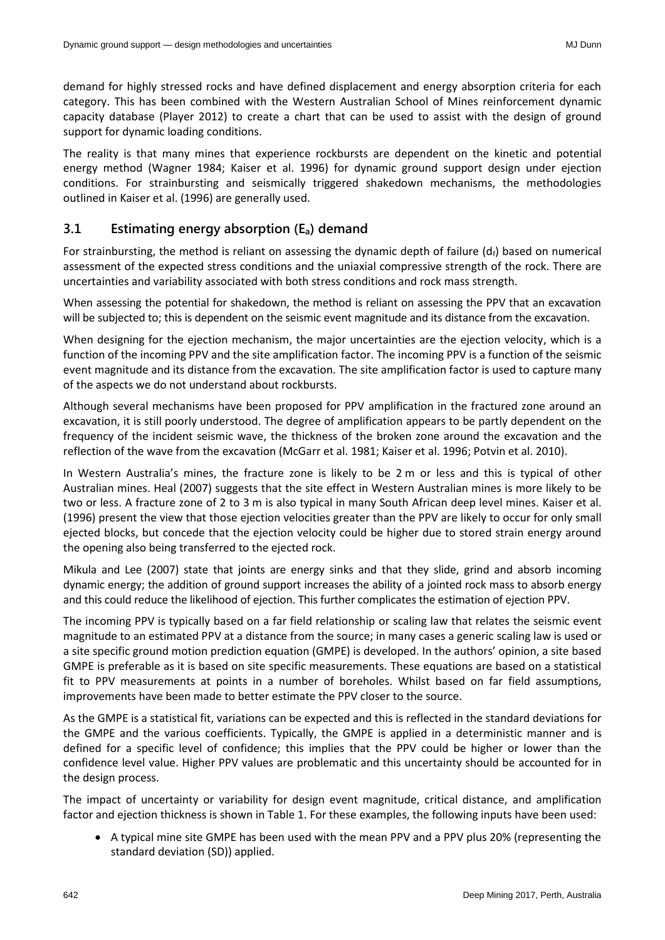demand for highly stressed rocks and have defined displacement and energy absorption criteria for each category. This has been combined with the Western Australian School of Mines reinforcement dynamic capacity database (Player 2012) to create a chart that can be used to assist with the design of ground support for dynamic loading conditions.

The reality is that many mines that experience rockbursts are dependent on the kinetic and potential energy method (Wagner 1984; Kaiser et al. 1996) for dynamic ground support design under ejection conditions. For strainbursting and seismically triggered shakedown mechanisms, the methodologies outlined in Kaiser et al. (1996) are generally used.

#### **3.1 Estimating energy absorption (Ea) demand**

For strainbursting, the method is reliant on assessing the dynamic depth of failure  $(d_f)$  based on numerical assessment of the expected stress conditions and the uniaxial compressive strength of the rock. There are uncertainties and variability associated with both stress conditions and rock mass strength.

When assessing the potential for shakedown, the method is reliant on assessing the PPV that an excavation will be subjected to; this is dependent on the seismic event magnitude and its distance from the excavation.

When designing for the ejection mechanism, the major uncertainties are the ejection velocity, which is a function of the incoming PPV and the site amplification factor. The incoming PPV is a function of the seismic event magnitude and its distance from the excavation. The site amplification factor is used to capture many of the aspects we do not understand about rockbursts.

Although several mechanisms have been proposed for PPV amplification in the fractured zone around an excavation, it is still poorly understood. The degree of amplification appears to be partly dependent on the frequency of the incident seismic wave, the thickness of the broken zone around the excavation and the reflection of the wave from the excavation (McGarr et al. 1981; Kaiser et al. 1996; Potvin et al. 2010).

In Western Australia's mines, the fracture zone is likely to be 2 m or less and this is typical of other Australian mines. Heal (2007) suggests that the site effect in Western Australian mines is more likely to be two or less. A fracture zone of 2 to 3 m is also typical in many South African deep level mines. Kaiser et al. (1996) present the view that those ejection velocities greater than the PPV are likely to occur for only small ejected blocks, but concede that the ejection velocity could be higher due to stored strain energy around the opening also being transferred to the ejected rock.

Mikula and Lee (2007) state that joints are energy sinks and that they slide, grind and absorb incoming dynamic energy; the addition of ground support increases the ability of a jointed rock mass to absorb energy and this could reduce the likelihood of ejection. This further complicates the estimation of ejection PPV.

The incoming PPV is typically based on a far field relationship or scaling law that relates the seismic event magnitude to an estimated PPV at a distance from the source; in many cases a generic scaling law is used or a site specific ground motion prediction equation (GMPE) is developed. In the authors' opinion, a site based GMPE is preferable as it is based on site specific measurements. These equations are based on a statistical fit to PPV measurements at points in a number of boreholes. Whilst based on far field assumptions, improvements have been made to better estimate the PPV closer to the source.

As the GMPE is a statistical fit, variations can be expected and this is reflected in the standard deviations for the GMPE and the various coefficients. Typically, the GMPE is applied in a deterministic manner and is defined for a specific level of confidence; this implies that the PPV could be higher or lower than the confidence level value. Higher PPV values are problematic and this uncertainty should be accounted for in the design process.

The impact of uncertainty or variability for design event magnitude, critical distance, and amplification factor and ejection thickness is shown in Table 1. For these examples, the following inputs have been used:

• A typical mine site GMPE has been used with the mean PPV and a PPV plus 20% (representing the standard deviation (SD)) applied.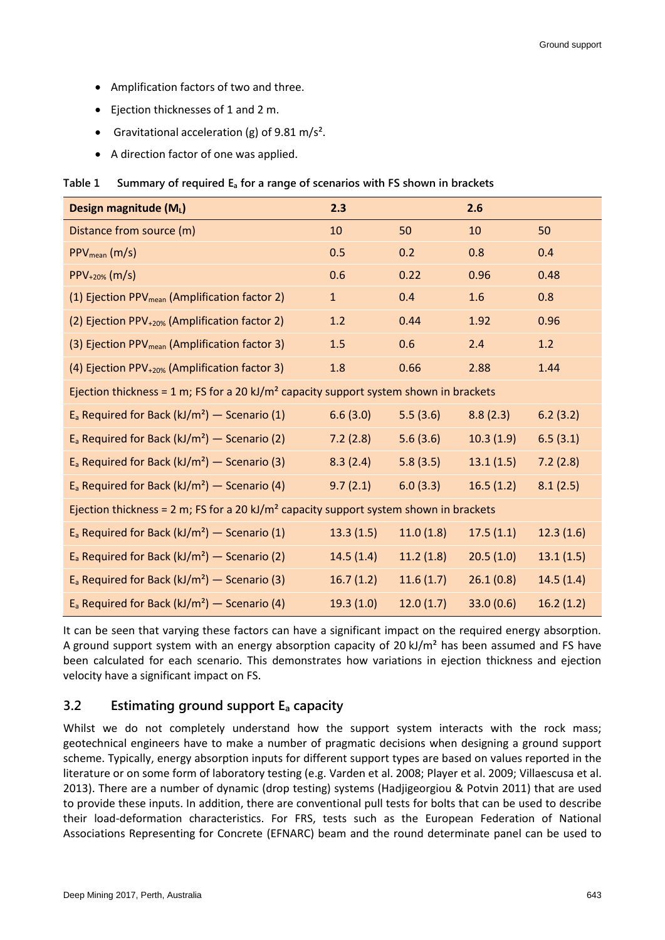- Amplification factors of two and three.
- Ejection thicknesses of 1 and 2 m.
- Gravitational acceleration (g) of 9.81 m/s<sup>2</sup>.
- A direction factor of one was applied.

|  |  | Table 1 Summary of required $E_a$ for a range of scenarios with FS shown in brackets |
|--|--|--------------------------------------------------------------------------------------|
|  |  |                                                                                      |

| Design magnitude (ML)                                                                             | 2.3          |           | 2.6       |           |  |  |  |
|---------------------------------------------------------------------------------------------------|--------------|-----------|-----------|-----------|--|--|--|
| Distance from source (m)                                                                          | 10           | 50        | 10        | 50        |  |  |  |
| $PPV_{mean}(m/s)$                                                                                 | 0.5          | 0.2       | 0.8       | 0.4       |  |  |  |
| $PPV_{+20\%}$ (m/s)                                                                               | 0.6          | 0.22      | 0.96      | 0.48      |  |  |  |
| (1) Ejection PPV <sub>mean</sub> (Amplification factor 2)                                         | $\mathbf{1}$ | 0.4       | 1.6       | 0.8       |  |  |  |
| (2) Ejection PPV <sub>+20%</sub> (Amplification factor 2)                                         | 1.2          | 0.44      | 1.92      | 0.96      |  |  |  |
| (3) Ejection PPV <sub>mean</sub> (Amplification factor 3)                                         | 1.5          | 0.6       | 2.4       | 1.2       |  |  |  |
| (4) Ejection PPV <sub>+20%</sub> (Amplification factor 3)                                         | 1.8          | 0.66      | 2.88      | 1.44      |  |  |  |
| Ejection thickness = 1 m; FS for a 20 kJ/m <sup>2</sup> capacity support system shown in brackets |              |           |           |           |  |  |  |
| $E_a$ Required for Back (kJ/m <sup>2</sup> ) — Scenario (1)                                       | 6.6(3.0)     | 5.5(3.6)  | 8.8(2.3)  | 6.2(3.2)  |  |  |  |
| $E_a$ Required for Back (kJ/m <sup>2</sup> ) – Scenario (2)                                       | 7.2(2.8)     | 5.6(3.6)  | 10.3(1.9) | 6.5(3.1)  |  |  |  |
| $E_a$ Required for Back (kJ/m <sup>2</sup> ) — Scenario (3)                                       | 8.3(2.4)     | 5.8(3.5)  | 13.1(1.5) | 7.2(2.8)  |  |  |  |
| $E_a$ Required for Back (kJ/m <sup>2</sup> ) — Scenario (4)                                       | 9.7(2.1)     | 6.0(3.3)  | 16.5(1.2) | 8.1(2.5)  |  |  |  |
| Ejection thickness = 2 m; FS for a 20 kJ/m <sup>2</sup> capacity support system shown in brackets |              |           |           |           |  |  |  |
| $E_a$ Required for Back (kJ/m <sup>2</sup> ) — Scenario (1)                                       | 13.3(1.5)    | 11.0(1.8) | 17.5(1.1) | 12.3(1.6) |  |  |  |
| $E_a$ Required for Back (kJ/m <sup>2</sup> ) — Scenario (2)                                       | 14.5(1.4)    | 11.2(1.8) | 20.5(1.0) | 13.1(1.5) |  |  |  |
| $E_a$ Required for Back (kJ/m <sup>2</sup> ) – Scenario (3)                                       | 16.7(1.2)    | 11.6(1.7) | 26.1(0.8) | 14.5(1.4) |  |  |  |
| $E_a$ Required for Back (kJ/m <sup>2</sup> ) — Scenario (4)                                       | 19.3(1.0)    | 12.0(1.7) | 33.0(0.6) | 16.2(1.2) |  |  |  |

It can be seen that varying these factors can have a significant impact on the required energy absorption. A ground support system with an energy absorption capacity of 20  $kJ/m<sup>2</sup>$  has been assumed and FS have been calculated for each scenario. This demonstrates how variations in ejection thickness and ejection velocity have a significant impact on FS.

#### **3.2 Estimating ground support E<sup>a</sup> capacity**

Whilst we do not completely understand how the support system interacts with the rock mass; geotechnical engineers have to make a number of pragmatic decisions when designing a ground support scheme. Typically, energy absorption inputs for different support types are based on values reported in the literature or on some form of laboratory testing (e.g. Varden et al. 2008; Player et al. 2009; Villaescusa et al. 2013). There are a number of dynamic (drop testing) systems (Hadjigeorgiou & Potvin 2011) that are used to provide these inputs. In addition, there are conventional pull tests for bolts that can be used to describe their load-deformation characteristics. For FRS, tests such as the European Federation of National Associations Representing for Concrete (EFNARC) beam and the round determinate panel can be used to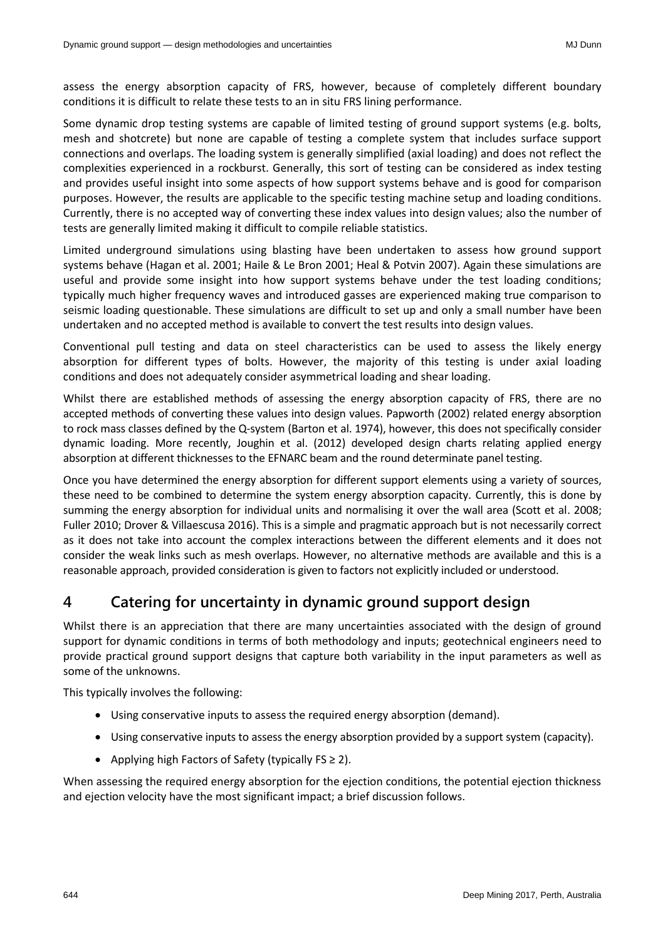assess the energy absorption capacity of FRS, however, because of completely different boundary conditions it is difficult to relate these tests to an in situ FRS lining performance.

Some dynamic drop testing systems are capable of limited testing of ground support systems (e.g. bolts, mesh and shotcrete) but none are capable of testing a complete system that includes surface support connections and overlaps. The loading system is generally simplified (axial loading) and does not reflect the complexities experienced in a rockburst. Generally, this sort of testing can be considered as index testing and provides useful insight into some aspects of how support systems behave and is good for comparison purposes. However, the results are applicable to the specific testing machine setup and loading conditions. Currently, there is no accepted way of converting these index values into design values; also the number of tests are generally limited making it difficult to compile reliable statistics.

Limited underground simulations using blasting have been undertaken to assess how ground support systems behave (Hagan et al. 2001; Haile & Le Bron 2001; Heal & Potvin 2007). Again these simulations are useful and provide some insight into how support systems behave under the test loading conditions; typically much higher frequency waves and introduced gasses are experienced making true comparison to seismic loading questionable. These simulations are difficult to set up and only a small number have been undertaken and no accepted method is available to convert the test results into design values.

Conventional pull testing and data on steel characteristics can be used to assess the likely energy absorption for different types of bolts. However, the majority of this testing is under axial loading conditions and does not adequately consider asymmetrical loading and shear loading.

Whilst there are established methods of assessing the energy absorption capacity of FRS, there are no accepted methods of converting these values into design values. Papworth (2002) related energy absorption to rock mass classes defined by the Q-system (Barton et al. 1974), however, this does not specifically consider dynamic loading. More recently, Joughin et al. (2012) developed design charts relating applied energy absorption at different thicknesses to the EFNARC beam and the round determinate panel testing.

Once you have determined the energy absorption for different support elements using a variety of sources, these need to be combined to determine the system energy absorption capacity. Currently, this is done by summing the energy absorption for individual units and normalising it over the wall area (Scott et al. 2008; Fuller 2010; Drover & Villaescusa 2016). This is a simple and pragmatic approach but is not necessarily correct as it does not take into account the complex interactions between the different elements and it does not consider the weak links such as mesh overlaps. However, no alternative methods are available and this is a reasonable approach, provided consideration is given to factors not explicitly included or understood.

# **4 Catering for uncertainty in dynamic ground support design**

Whilst there is an appreciation that there are many uncertainties associated with the design of ground support for dynamic conditions in terms of both methodology and inputs; geotechnical engineers need to provide practical ground support designs that capture both variability in the input parameters as well as some of the unknowns.

This typically involves the following:

- Using conservative inputs to assess the required energy absorption (demand).
- Using conservative inputs to assess the energy absorption provided by a support system (capacity).
- Applying high Factors of Safety (typically  $FS \geq 2$ ).

When assessing the required energy absorption for the ejection conditions, the potential ejection thickness and ejection velocity have the most significant impact; a brief discussion follows.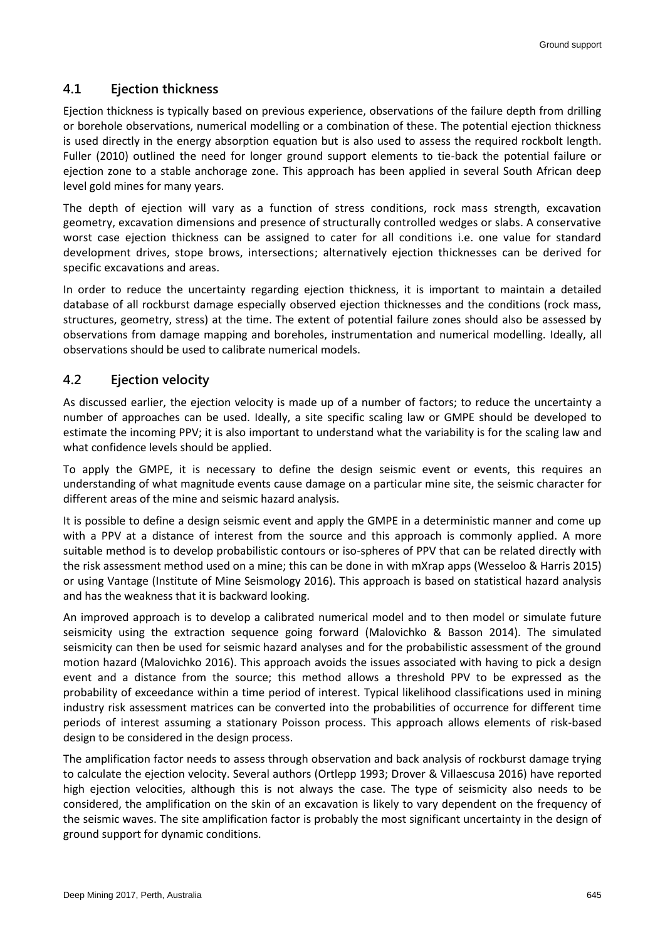#### **4.1 Ejection thickness**

Ejection thickness is typically based on previous experience, observations of the failure depth from drilling or borehole observations, numerical modelling or a combination of these. The potential ejection thickness is used directly in the energy absorption equation but is also used to assess the required rockbolt length. Fuller (2010) outlined the need for longer ground support elements to tie-back the potential failure or ejection zone to a stable anchorage zone. This approach has been applied in several South African deep level gold mines for many years.

The depth of ejection will vary as a function of stress conditions, rock mass strength, excavation geometry, excavation dimensions and presence of structurally controlled wedges or slabs. A conservative worst case ejection thickness can be assigned to cater for all conditions i.e. one value for standard development drives, stope brows, intersections; alternatively ejection thicknesses can be derived for specific excavations and areas.

In order to reduce the uncertainty regarding ejection thickness, it is important to maintain a detailed database of all rockburst damage especially observed ejection thicknesses and the conditions (rock mass, structures, geometry, stress) at the time. The extent of potential failure zones should also be assessed by observations from damage mapping and boreholes, instrumentation and numerical modelling. Ideally, all observations should be used to calibrate numerical models.

#### **4.2 Ejection velocity**

As discussed earlier, the ejection velocity is made up of a number of factors; to reduce the uncertainty a number of approaches can be used. Ideally, a site specific scaling law or GMPE should be developed to estimate the incoming PPV; it is also important to understand what the variability is for the scaling law and what confidence levels should be applied.

To apply the GMPE, it is necessary to define the design seismic event or events, this requires an understanding of what magnitude events cause damage on a particular mine site, the seismic character for different areas of the mine and seismic hazard analysis.

It is possible to define a design seismic event and apply the GMPE in a deterministic manner and come up with a PPV at a distance of interest from the source and this approach is commonly applied. A more suitable method is to develop probabilistic contours or iso-spheres of PPV that can be related directly with the risk assessment method used on a mine; this can be done in with mXrap apps (Wesseloo & Harris 2015) or using Vantage (Institute of Mine Seismology 2016). This approach is based on statistical hazard analysis and has the weakness that it is backward looking.

An improved approach is to develop a calibrated numerical model and to then model or simulate future seismicity using the extraction sequence going forward (Malovichko & Basson 2014). The simulated seismicity can then be used for seismic hazard analyses and for the probabilistic assessment of the ground motion hazard (Malovichko 2016). This approach avoids the issues associated with having to pick a design event and a distance from the source; this method allows a threshold PPV to be expressed as the probability of exceedance within a time period of interest. Typical likelihood classifications used in mining industry risk assessment matrices can be converted into the probabilities of occurrence for different time periods of interest assuming a stationary Poisson process. This approach allows elements of risk-based design to be considered in the design process.

The amplification factor needs to assess through observation and back analysis of rockburst damage trying to calculate the ejection velocity. Several authors (Ortlepp 1993; Drover & Villaescusa 2016) have reported high ejection velocities, although this is not always the case. The type of seismicity also needs to be considered, the amplification on the skin of an excavation is likely to vary dependent on the frequency of the seismic waves. The site amplification factor is probably the most significant uncertainty in the design of ground support for dynamic conditions.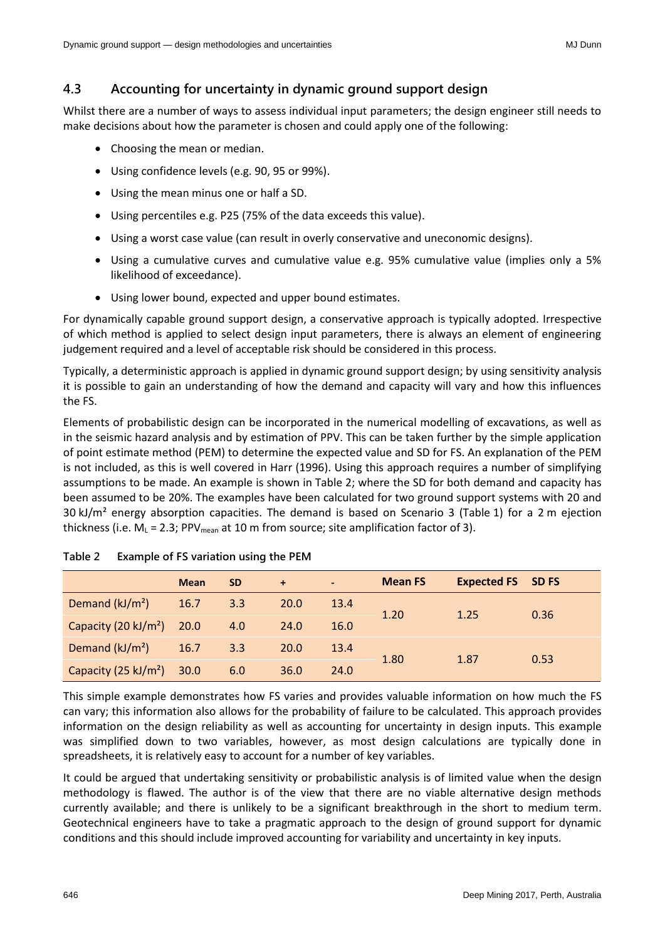### **4.3 Accounting for uncertainty in dynamic ground support design**

Whilst there are a number of ways to assess individual input parameters; the design engineer still needs to make decisions about how the parameter is chosen and could apply one of the following:

- Choosing the mean or median.
- Using confidence levels (e.g. 90, 95 or 99%).
- Using the mean minus one or half a SD.
- Using percentiles e.g. P25 (75% of the data exceeds this value).
- Using a worst case value (can result in overly conservative and uneconomic designs).
- Using a cumulative curves and cumulative value e.g. 95% cumulative value (implies only a 5% likelihood of exceedance).
- Using lower bound, expected and upper bound estimates.

For dynamically capable ground support design, a conservative approach is typically adopted. Irrespective of which method is applied to select design input parameters, there is always an element of engineering judgement required and a level of acceptable risk should be considered in this process.

Typically, a deterministic approach is applied in dynamic ground support design; by using sensitivity analysis it is possible to gain an understanding of how the demand and capacity will vary and how this influences the FS.

Elements of probabilistic design can be incorporated in the numerical modelling of excavations, as well as in the seismic hazard analysis and by estimation of PPV. This can be taken further by the simple application of point estimate method (PEM) to determine the expected value and SD for FS. An explanation of the PEM is not included, as this is well covered in Harr (1996). Using this approach requires a number of simplifying assumptions to be made. An example is shown in Table 2; where the SD for both demand and capacity has been assumed to be 20%. The examples have been calculated for two ground support systems with 20 and 30 kJ/m<sup>2</sup> energy absorption capacities. The demand is based on Scenario 3 (Table 1) for a 2 m ejection thickness (i.e.  $M_L$  = 2.3; PPV<sub>mean</sub> at 10 m from source; site amplification factor of 3).

|                                  | <b>Mean</b> | <b>SD</b> | $+$  | $\blacksquare$ | <b>Mean FS</b> | <b>Expected FS SD FS</b> |      |
|----------------------------------|-------------|-----------|------|----------------|----------------|--------------------------|------|
| Demand (kJ/m <sup>2</sup> )      | 16.7        | 3.3       | 20.0 | 13.4           |                |                          |      |
| Capacity (20 kJ/m <sup>2</sup> ) | 20.0        | 4.0       | 24.0 | 16.0           | 1.20           | 1.25                     | 0.36 |
| Demand $(kJ/m2)$                 | 16.7        | 3.3       | 20.0 | 13.4           |                |                          |      |
| Capacity (25 kJ/m <sup>2</sup> ) | 30.0        | 6.0       | 36.0 | 24.0           | 1.80           | 1.87                     | 0.53 |

| Table 2 |  | Example of FS variation using the PEM |  |  |
|---------|--|---------------------------------------|--|--|
|         |  |                                       |  |  |

This simple example demonstrates how FS varies and provides valuable information on how much the FS can vary; this information also allows for the probability of failure to be calculated. This approach provides information on the design reliability as well as accounting for uncertainty in design inputs. This example was simplified down to two variables, however, as most design calculations are typically done in spreadsheets, it is relatively easy to account for a number of key variables.

It could be argued that undertaking sensitivity or probabilistic analysis is of limited value when the design methodology is flawed. The author is of the view that there are no viable alternative design methods currently available; and there is unlikely to be a significant breakthrough in the short to medium term. Geotechnical engineers have to take a pragmatic approach to the design of ground support for dynamic conditions and this should include improved accounting for variability and uncertainty in key inputs.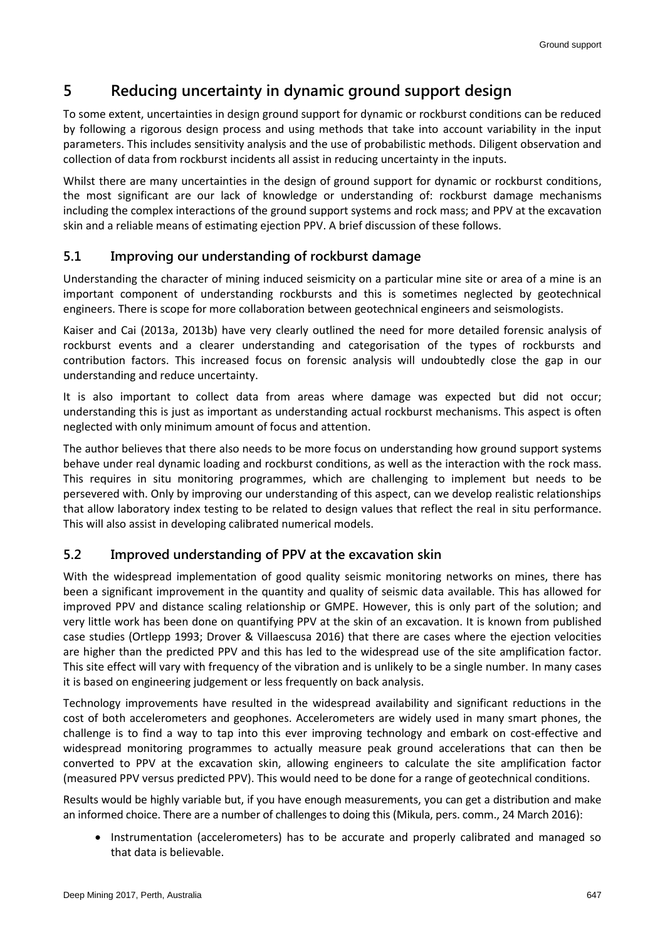# **5 Reducing uncertainty in dynamic ground support design**

To some extent, uncertainties in design ground support for dynamic or rockburst conditions can be reduced by following a rigorous design process and using methods that take into account variability in the input parameters. This includes sensitivity analysis and the use of probabilistic methods. Diligent observation and collection of data from rockburst incidents all assist in reducing uncertainty in the inputs.

Whilst there are many uncertainties in the design of ground support for dynamic or rockburst conditions, the most significant are our lack of knowledge or understanding of: rockburst damage mechanisms including the complex interactions of the ground support systems and rock mass; and PPV at the excavation skin and a reliable means of estimating ejection PPV. A brief discussion of these follows.

#### **5.1 Improving our understanding of rockburst damage**

Understanding the character of mining induced seismicity on a particular mine site or area of a mine is an important component of understanding rockbursts and this is sometimes neglected by geotechnical engineers. There is scope for more collaboration between geotechnical engineers and seismologists.

Kaiser and Cai (2013a, 2013b) have very clearly outlined the need for more detailed forensic analysis of rockburst events and a clearer understanding and categorisation of the types of rockbursts and contribution factors. This increased focus on forensic analysis will undoubtedly close the gap in our understanding and reduce uncertainty.

It is also important to collect data from areas where damage was expected but did not occur; understanding this is just as important as understanding actual rockburst mechanisms. This aspect is often neglected with only minimum amount of focus and attention.

The author believes that there also needs to be more focus on understanding how ground support systems behave under real dynamic loading and rockburst conditions, as well as the interaction with the rock mass. This requires in situ monitoring programmes, which are challenging to implement but needs to be persevered with. Only by improving our understanding of this aspect, can we develop realistic relationships that allow laboratory index testing to be related to design values that reflect the real in situ performance. This will also assist in developing calibrated numerical models.

#### **5.2 Improved understanding of PPV at the excavation skin**

With the widespread implementation of good quality seismic monitoring networks on mines, there has been a significant improvement in the quantity and quality of seismic data available. This has allowed for improved PPV and distance scaling relationship or GMPE. However, this is only part of the solution; and very little work has been done on quantifying PPV at the skin of an excavation. It is known from published case studies (Ortlepp 1993; Drover & Villaescusa 2016) that there are cases where the ejection velocities are higher than the predicted PPV and this has led to the widespread use of the site amplification factor. This site effect will vary with frequency of the vibration and is unlikely to be a single number. In many cases it is based on engineering judgement or less frequently on back analysis.

Technology improvements have resulted in the widespread availability and significant reductions in the cost of both accelerometers and geophones. Accelerometers are widely used in many smart phones, the challenge is to find a way to tap into this ever improving technology and embark on cost-effective and widespread monitoring programmes to actually measure peak ground accelerations that can then be converted to PPV at the excavation skin, allowing engineers to calculate the site amplification factor (measured PPV versus predicted PPV). This would need to be done for a range of geotechnical conditions.

Results would be highly variable but, if you have enough measurements, you can get a distribution and make an informed choice. There are a number of challenges to doing this (Mikula, pers. comm., 24 March 2016):

• Instrumentation (accelerometers) has to be accurate and properly calibrated and managed so that data is believable.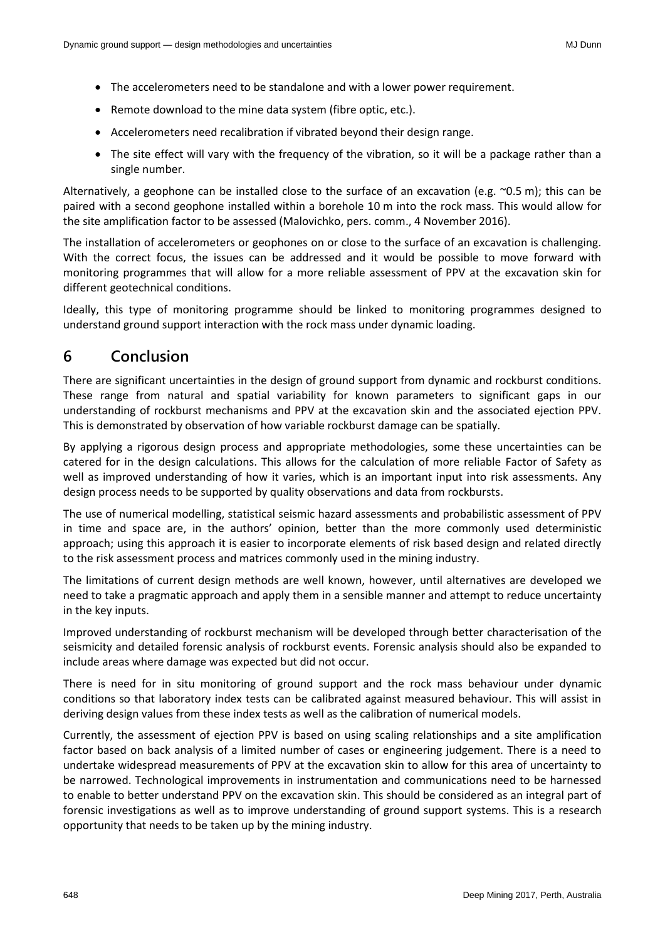- The accelerometers need to be standalone and with a lower power requirement.
- Remote download to the mine data system (fibre optic, etc.).
- Accelerometers need recalibration if vibrated beyond their design range.
- The site effect will vary with the frequency of the vibration, so it will be a package rather than a single number.

Alternatively, a geophone can be installed close to the surface of an excavation (e.g.  $\sim$ 0.5 m); this can be paired with a second geophone installed within a borehole 10 m into the rock mass. This would allow for the site amplification factor to be assessed (Malovichko, pers. comm., 4 November 2016).

The installation of accelerometers or geophones on or close to the surface of an excavation is challenging. With the correct focus, the issues can be addressed and it would be possible to move forward with monitoring programmes that will allow for a more reliable assessment of PPV at the excavation skin for different geotechnical conditions.

Ideally, this type of monitoring programme should be linked to monitoring programmes designed to understand ground support interaction with the rock mass under dynamic loading.

### **6 Conclusion**

There are significant uncertainties in the design of ground support from dynamic and rockburst conditions. These range from natural and spatial variability for known parameters to significant gaps in our understanding of rockburst mechanisms and PPV at the excavation skin and the associated ejection PPV. This is demonstrated by observation of how variable rockburst damage can be spatially.

By applying a rigorous design process and appropriate methodologies, some these uncertainties can be catered for in the design calculations. This allows for the calculation of more reliable Factor of Safety as well as improved understanding of how it varies, which is an important input into risk assessments. Any design process needs to be supported by quality observations and data from rockbursts.

The use of numerical modelling, statistical seismic hazard assessments and probabilistic assessment of PPV in time and space are, in the authors' opinion, better than the more commonly used deterministic approach; using this approach it is easier to incorporate elements of risk based design and related directly to the risk assessment process and matrices commonly used in the mining industry.

The limitations of current design methods are well known, however, until alternatives are developed we need to take a pragmatic approach and apply them in a sensible manner and attempt to reduce uncertainty in the key inputs.

Improved understanding of rockburst mechanism will be developed through better characterisation of the seismicity and detailed forensic analysis of rockburst events. Forensic analysis should also be expanded to include areas where damage was expected but did not occur.

There is need for in situ monitoring of ground support and the rock mass behaviour under dynamic conditions so that laboratory index tests can be calibrated against measured behaviour. This will assist in deriving design values from these index tests as well as the calibration of numerical models.

Currently, the assessment of ejection PPV is based on using scaling relationships and a site amplification factor based on back analysis of a limited number of cases or engineering judgement. There is a need to undertake widespread measurements of PPV at the excavation skin to allow for this area of uncertainty to be narrowed. Technological improvements in instrumentation and communications need to be harnessed to enable to better understand PPV on the excavation skin. This should be considered as an integral part of forensic investigations as well as to improve understanding of ground support systems. This is a research opportunity that needs to be taken up by the mining industry.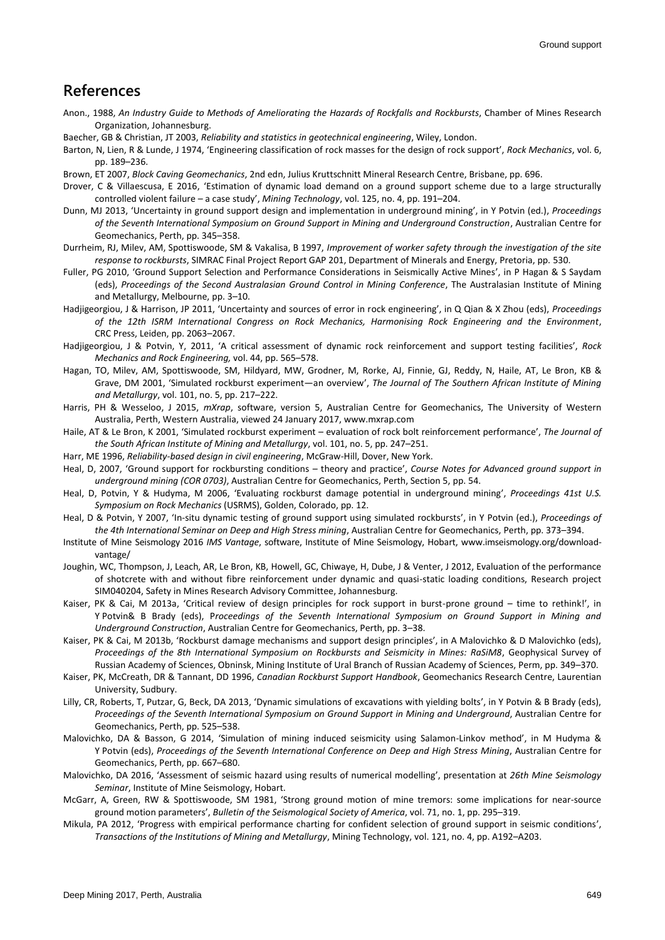### **References**

- Anon., 1988, *An Industry Guide to Methods of Ameliorating the Hazards of Rockfalls and Rockbursts*, Chamber of Mines Research Organization, Johannesburg.
- Baecher, GB & Christian, JT 2003, *Reliability and statistics in geotechnical engineering*, Wiley, London.
- Barton, N, Lien, R & Lunde, J 1974, 'Engineering classification of rock masses for the design of rock support', *Rock Mechanics*, vol. 6, pp. 189–236.
- Brown, ET 2007, *Block Caving Geomechanics*, 2nd edn, Julius Kruttschnitt Mineral Research Centre, Brisbane, pp. 696.
- Drover, C & Villaescusa, E 2016, 'Estimation of dynamic load demand on a ground support scheme due to a large structurally controlled violent failure – a case study', *Mining Technology*, vol. 125, no. 4, pp. 191–204.
- Dunn, MJ 2013, 'Uncertainty in ground support design and implementation in underground mining', in Y Potvin (ed.), *Proceedings of the Seventh International Symposium on Ground Support in Mining and Underground Construction*, Australian Centre for Geomechanics, Perth, pp. 345–358.
- Durrheim, RJ, Milev, AM, Spottiswoode, SM & Vakalisa, B 1997, *Improvement of worker safety through the investigation of the site response to rockbursts*, SIMRAC Final Project Report GAP 201, Department of Minerals and Energy, Pretoria, pp. 530.
- Fuller, PG 2010, 'Ground Support Selection and Performance Considerations in Seismically Active Mines', in P Hagan & S Saydam (eds), *Proceedings of the Second Australasian Ground Control in Mining Conference*, The Australasian Institute of Mining and Metallurgy, Melbourne, pp. 3–10.
- Hadjigeorgiou, J & Harrison, JP 2011, 'Uncertainty and sources of error in rock engineering', in Q Qian & X Zhou (eds), *Proceedings of the 12th ISRM International Congress on Rock Mechanics, Harmonising Rock Engineering and the Environment*, CRC Press, Leiden, pp. 2063–2067.
- Hadjigeorgiou, J & Potvin, Y, 2011, 'A critical assessment of dynamic rock reinforcement and support testing facilities', *Rock Mechanics and Rock Engineering,* vol. 44, pp. 565–578.
- Hagan, TO, Milev, AM, Spottiswoode, SM, Hildyard, MW, Grodner, M, Rorke, AJ, Finnie, GJ, Reddy, N, Haile, AT, Le Bron, KB & Grave, DM 2001, 'Simulated rockburst experiment—an overview', *The Journal of The Southern African Institute of Mining and Metallurgy*, vol. 101, no. 5, pp. 217–222.
- Harris, PH & Wesseloo, J 2015, *mXrap*, software, version 5, Australian Centre for Geomechanics, The University of Western Australia, Perth, Western Australia, viewed 24 January 2017, www.mxrap.com
- Haile, AT & Le Bron, K 2001, 'Simulated rockburst experiment evaluation of rock bolt reinforcement performance', *The Journal of the South African Institute of Mining and Metallurgy*, vol. 101, no. 5, pp. 247–251.
- Harr, ME 1996, *Reliability-based design in civil engineering*, McGraw-Hill, Dover, New York.
- Heal, D, 2007, 'Ground support for rockbursting conditions theory and practice', *Course Notes for Advanced ground support in underground mining (COR 0703)*, Australian Centre for Geomechanics, Perth, Section 5, pp. 54.
- Heal, D, Potvin, Y & Hudyma, M 2006, 'Evaluating rockburst damage potential in underground mining', *Proceedings 41st U.S. Symposium on Rock Mechanics* (USRMS), Golden, Colorado, pp. 12.
- Heal, D & Potvin, Y 2007, 'In-situ dynamic testing of ground support using simulated rockbursts', in Y Potvin (ed.), *Proceedings of the 4th International Seminar on Deep and High Stress mining*, Australian Centre for Geomechanics, Perth, pp. 373–394.
- Institute of Mine Seismology 2016 *IMS Vantage*, software, Institute of Mine Seismology, Hobart, www.imseismology.org/downloadvantage/
- Joughin, WC, Thompson, J, Leach, AR, Le Bron, KB, Howell, GC, Chiwaye, H, Dube, J & Venter, J 2012, Evaluation of the performance of shotcrete with and without fibre reinforcement under dynamic and quasi-static loading conditions, Research project SIM040204, Safety in Mines Research Advisory Committee, Johannesburg.
- Kaiser, PK & Cai, M 2013a, 'Critical review of design principles for rock support in burst-prone ground time to rethink!', in Y Potvin& B Brady (eds), P*roceedings of the Seventh International Symposium on Ground Support in Mining and Underground Construction*, Australian Centre for Geomechanics, Perth, pp. 3–38.
- Kaiser, PK & Cai, M 2013b, 'Rockburst damage mechanisms and support design principles', in A Malovichko & D Malovichko (eds), *Proceedings of the 8th International Symposium on Rockbursts and Seismicity in Mines: RaSiM8*, Geophysical Survey of Russian Academy of Sciences, Obninsk, Mining Institute of Ural Branch of Russian Academy of Sciences, Perm, pp. 349–370.
- Kaiser, PK, McCreath, DR & Tannant, DD 1996, *Canadian Rockburst Support Handbook*, Geomechanics Research Centre, Laurentian University, Sudbury.
- Lilly, CR, Roberts, T, Putzar, G, Beck, DA 2013, 'Dynamic simulations of excavations with yielding bolts', in Y Potvin & B Brady (eds), *Proceedings of the Seventh International Symposium on Ground Support in Mining and Underground*, Australian Centre for Geomechanics, Perth, pp. 525–538.
- Malovichko, DA & Basson, G 2014, 'Simulation of mining induced seismicity using Salamon-Linkov method', in M Hudyma & Y Potvin (eds), *Proceedings of the Seventh International Conference on Deep and High Stress Mining*, Australian Centre for Geomechanics, Perth, pp. 667–680.
- Malovichko, DA 2016, 'Assessment of seismic hazard using results of numerical modelling', presentation at *26th Mine Seismology Seminar*, Institute of Mine Seismology, Hobart.
- McGarr, A, Green, RW & Spottiswoode, SM 1981, 'Strong ground motion of mine tremors: some implications for near-source ground motion parameters', *Bulletin of the Seismological Society of America*, vol. 71, no. 1, pp. 295–319.
- Mikula, PA 2012, 'Progress with empirical performance charting for confident selection of ground support in seismic conditions', *Transactions of the Institutions of Mining and Metallurgy*, Mining Technology, vol. 121, no. 4, pp. A192–A203.